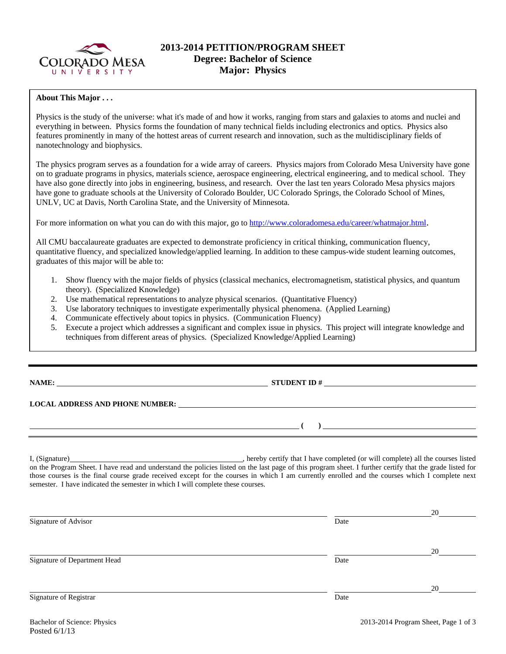

# **2013-2014 PETITION/PROGRAM SHEET Degree: Bachelor of Science Major: Physics**

### **About This Major . . .**

Physics is the study of the universe: what it's made of and how it works, ranging from stars and galaxies to atoms and nuclei and everything in between. Physics forms the foundation of many technical fields including electronics and optics. Physics also features prominently in many of the hottest areas of current research and innovation, such as the multidisciplinary fields of nanotechnology and biophysics.

The physics program serves as a foundation for a wide array of careers. Physics majors from Colorado Mesa University have gone on to graduate programs in physics, materials science, aerospace engineering, electrical engineering, and to medical school. They have also gone directly into jobs in engineering, business, and research. Over the last ten years Colorado Mesa physics majors have gone to graduate schools at the University of Colorado Boulder, UC Colorado Springs, the Colorado School of Mines, UNLV, UC at Davis, North Carolina State, and the University of Minnesota.

For more information on what you can do with this major, go to http://www.coloradomesa.edu/career/whatmajor.html.

All CMU baccalaureate graduates are expected to demonstrate proficiency in critical thinking, communication fluency, quantitative fluency, and specialized knowledge/applied learning. In addition to these campus-wide student learning outcomes, graduates of this major will be able to:

- 1. Show fluency with the major fields of physics (classical mechanics, electromagnetism, statistical physics, and quantum theory). (Specialized Knowledge)
- 2. Use mathematical representations to analyze physical scenarios. (Quantitative Fluency)
- 3. Use laboratory techniques to investigate experimentally physical phenomena. (Applied Learning)
- 4. Communicate effectively about topics in physics. (Communication Fluency)
- 5. Execute a project which addresses a significant and complex issue in physics. This project will integrate knowledge and techniques from different areas of physics. (Specialized Knowledge/Applied Learning)

**NAME: STUDENT ID #**

**LOCAL ADDRESS AND PHONE NUMBER:**

I, (Signature) , hereby certify that I have completed (or will complete) all the courses listed on the Program Sheet. I have read and understand the policies listed on the last page of this program sheet. I further certify that the grade listed for those courses is the final course grade received except for the courses in which I am currently enrolled and the courses which I complete next semester. I have indicated the semester in which I will complete these courses.

|                              |      | 20 |
|------------------------------|------|----|
| Signature of Advisor         | Date |    |
|                              |      |    |
|                              |      | 20 |
| Signature of Department Head | Date |    |
|                              |      |    |
|                              |      | 20 |
| Signature of Registrar       | Date |    |
|                              |      |    |

 **( )**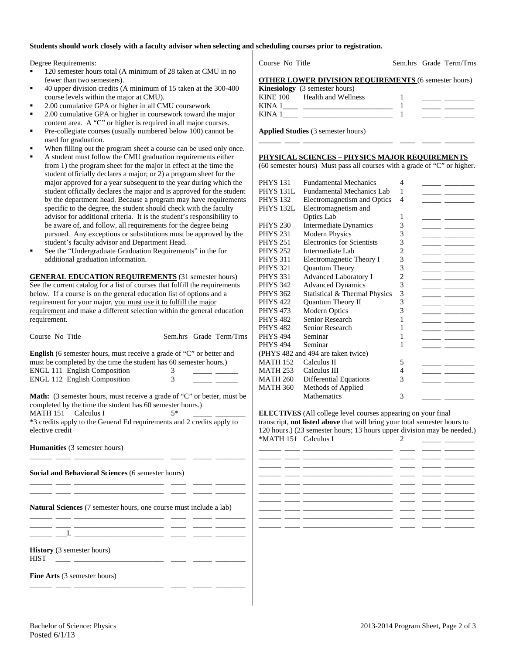#### **Students should work closely with a faculty advisor when selecting and scheduling courses prior to registration.**

Degree Requirements:

- 120 semester hours total (A minimum of 28 taken at CMU in no fewer than two semesters).
- 40 upper division credits (A minimum of 15 taken at the 300-400 course levels within the major at CMU).
- 2.00 cumulative GPA or higher in all CMU coursework
- 2.00 cumulative GPA or higher in coursework toward the major content area. A "C" or higher is required in all major courses.
- Pre-collegiate courses (usually numbered below 100) cannot be used for graduation.
- When filling out the program sheet a course can be used only once.
- A student must follow the CMU graduation requirements either from 1) the program sheet for the major in effect at the time the student officially declares a major; or 2) a program sheet for the major approved for a year subsequent to the year during which the student officially declares the major and is approved for the student by the department head. Because a program may have requirements specific to the degree, the student should check with the faculty advisor for additional criteria. It is the student's responsibility to be aware of, and follow, all requirements for the degree being pursued. Any exceptions or substitutions must be approved by the student's faculty advisor and Department Head.
- See the "Undergraduate Graduation Requirements" in the for additional graduation information.

**GENERAL EDUCATION REQUIREMENTS** (31 semester hours) See the current catalog for a list of courses that fulfill the requirements below. If a course is on the general education list of options and a requirement for your major, you must use it to fulfill the major requirement and make a different selection within the general education requirement.

| Course No Title                                                                                                                                                    |               |  | Sem.hrs Grade Term/Trns |  |  |  |  |
|--------------------------------------------------------------------------------------------------------------------------------------------------------------------|---------------|--|-------------------------|--|--|--|--|
| <b>English</b> (6 semester hours, must receive a grade of "C" or better and<br>must be completed by the time the student has 60 semester hours.)                   |               |  |                         |  |  |  |  |
| ENGL 111 English Composition                                                                                                                                       | 3             |  |                         |  |  |  |  |
| <b>ENGL 112 English Composition</b>                                                                                                                                | $\mathcal{E}$ |  |                         |  |  |  |  |
| <b>Math:</b> (3 semester hours, must receive a grade of "C" or better, must be<br>completed by the time the student has 60 semester hours.)<br>MATH 151 Calculus I | $5*$          |  |                         |  |  |  |  |
| *3 credits apply to the General Ed requirements and 2 credits apply to<br>elective credit                                                                          |               |  |                         |  |  |  |  |
| <b>Humanities</b> (3 semester hours)                                                                                                                               |               |  |                         |  |  |  |  |
| Social and Behavioral Sciences (6 semester hours)                                                                                                                  |               |  |                         |  |  |  |  |
| <b>Natural Sciences</b> (7 semester hours, one course must include a lab)                                                                                          |               |  |                         |  |  |  |  |
| <u> 1980 - Johann Stein, mars an deus an deus an deus an deus an deus an deus an deus an deus an deus an deus an</u>                                               |               |  |                         |  |  |  |  |
| <b>History</b> (3 semester hours)<br><b>HIST</b>                                                                                                                   |               |  |                         |  |  |  |  |
| <b>Fine Arts</b> (3 semester hours)                                                                                                                                |               |  |                         |  |  |  |  |

Course No Title Sem.hrs Grade Term/Trns

|  |              |  | <b>OTHER LOWER DIVISION REQUIREMENTS (6 semester hours)</b> |
|--|--------------|--|-------------------------------------------------------------|
|  | $\mathbf{L}$ |  |                                                             |

|          | <b>Kinesiology</b> (3 semester hours) |  |
|----------|---------------------------------------|--|
| KINE 100 | Health and Wellness                   |  |
| KINA     |                                       |  |
| KINA     |                                       |  |

**Applied Studies** (3 semester hours)

### **PHYSICAL SCIENCES – PHYSICS MAJOR REQUIREMENTS**

(60 semester hours) Must pass all courses with a grade of "C" or higher.

\_\_\_\_\_\_ \_\_\_\_ \_\_\_\_\_\_\_\_\_\_\_\_\_\_\_\_\_\_\_\_\_\_\_\_ \_\_\_\_ \_\_\_\_\_ \_\_\_\_\_\_\_\_

| <b>PHYS 131</b>                    | <b>Fundamental Mechanics</b>      | 4              |  |  |  |
|------------------------------------|-----------------------------------|----------------|--|--|--|
| <b>PHYS 131L</b>                   | <b>Fundamental Mechanics Lab</b>  | 1              |  |  |  |
| <b>PHYS 132</b>                    | Electromagnetism and Optics       | 4              |  |  |  |
| <b>PHYS 132L</b>                   | Electromagnetism and              |                |  |  |  |
|                                    | Optics Lab                        | 1              |  |  |  |
| <b>PHYS 230</b>                    | <b>Intermediate Dynamics</b>      | 3              |  |  |  |
| <b>PHYS 231</b>                    | <b>Modern Physics</b>             | 3              |  |  |  |
| <b>PHYS 251</b>                    | <b>Electronics for Scientists</b> | 3              |  |  |  |
| <b>PHYS 252</b>                    | Intermediate Lab                  | $\overline{2}$ |  |  |  |
| <b>PHYS 311</b>                    | Electromagnetic Theory I          | 3              |  |  |  |
| <b>PHYS 321</b>                    | Quantum Theory                    | 3              |  |  |  |
| <b>PHYS 331</b>                    | <b>Advanced Laboratory I</b>      | 2              |  |  |  |
| <b>PHYS 342</b>                    | <b>Advanced Dynamics</b>          | 3              |  |  |  |
| <b>PHYS 362</b>                    | Statistical & Thermal Physics     | 3              |  |  |  |
| <b>PHYS 422</b>                    | Quantum Theory II                 | 3              |  |  |  |
| <b>PHYS 473</b>                    | Modern Optics                     | 3              |  |  |  |
| <b>PHYS 482</b>                    | Senior Research                   | 1              |  |  |  |
| <b>PHYS 482</b>                    | Senior Research                   | 1              |  |  |  |
| <b>PHYS 494</b>                    | Seminar                           | 1              |  |  |  |
| <b>PHYS 494</b>                    | Seminar                           | 1              |  |  |  |
| (PHYS 482 and 494 are taken twice) |                                   |                |  |  |  |
| <b>MATH 152</b>                    | Calculus II                       | 5              |  |  |  |
| <b>MATH 253</b>                    | Calculus III                      | 4              |  |  |  |
| <b>MATH 260</b>                    | <b>Differential Equations</b>     | 3              |  |  |  |
| <b>MATH 360</b>                    | Methods of Applied                |                |  |  |  |
|                                    | <b>Mathematics</b>                | 3              |  |  |  |

**ELECTIVES** (All college level courses appearing on your final transcript, **not listed above** that will bring your total semester hours to 120 hours.) (23 semester hours; 13 hours upper division may be needed.) \*MATH 151 Calculus I 2

|  | the contract of the contract of the contract of the contract of the contract of |  |  |
|--|---------------------------------------------------------------------------------|--|--|
|  |                                                                                 |  |  |
|  |                                                                                 |  |  |
|  |                                                                                 |  |  |